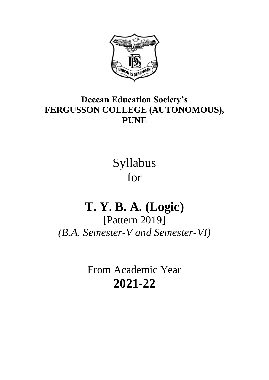

## **Deccan Education Society's FERGUSSON COLLEGE (AUTONOMOUS), PUNE**

Syllabus for

# **T. Y. B. A. (Logic)**

[Pattern 2019] *(B.A. Semester-V and Semester-VI)*

> From Academic Year **2021-22**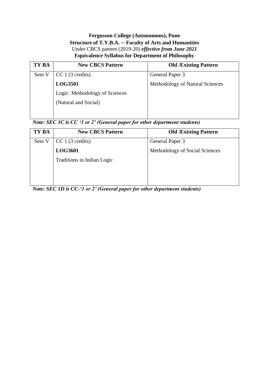#### **Fergusson College (Autonomous), Pune Structure of T.Y.B.A. – Faculty of Arts and Humanities** Under CBCS pattern (2019-20) *effective from June 2021* **Equivalence Syllabus for Department of Philosophy**

| TY BA | <b>New CBCS Pattern</b>        | <b>Old /Existing Pattern</b>    |
|-------|--------------------------------|---------------------------------|
| Sem V | CC 1 (3 credits)               | General Paper 3                 |
|       | <b>LOG3501</b>                 | Methodology of Natural Sciences |
|       | Logic: Methodology of Sciences |                                 |
|       | (Natural and Social)           |                                 |
|       |                                |                                 |

### *Note: SEC 1C is CC '1 or 2' (General paper for other department students)*

| <b>New CBCS Pattern</b>    | <b>Old /Existing Pattern</b>   |
|----------------------------|--------------------------------|
| CC 1 (3 credits)           | General Paper 3                |
| <b>LOG3601</b>             | Methodology of Social Sciences |
| Traditions in Indian Logic |                                |
|                            |                                |
|                            |                                |
|                            |                                |

*Note: SEC 1D is CC-'1 or 2' (General paper for other department students)*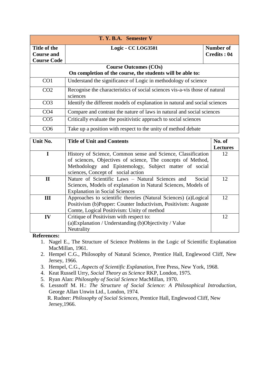| T. Y. B.A. Semester V                                      |                                                                                         |                          |  |  |
|------------------------------------------------------------|-----------------------------------------------------------------------------------------|--------------------------|--|--|
| Title of the<br><b>Course and</b><br><b>Course Code</b>    | Logic - CC LOG3501                                                                      | Number of<br>Credits: 04 |  |  |
| <b>Course Outcomes (COs)</b>                               |                                                                                         |                          |  |  |
| On completion of the course, the students will be able to: |                                                                                         |                          |  |  |
| CO <sub>1</sub>                                            | Understand the significance of Logic in methodology of science                          |                          |  |  |
| CO <sub>2</sub>                                            | Recognise the characteristics of social sciences vis-a-vis those of natural<br>sciences |                          |  |  |
| CO <sub>3</sub>                                            | Identify the different models of explanation in natural and social sciences             |                          |  |  |
| CO <sub>4</sub>                                            | Compare and contrast the nature of laws in natural and social sciences                  |                          |  |  |
| CO <sub>5</sub>                                            | Critically evaluate the positivistic approach to social sciences                        |                          |  |  |
| CO <sub>6</sub>                                            | Take up a position with respect to the unity of method debate                           |                          |  |  |

| Unit No.     | <b>Title of Unit and Contents</b>                               | No. of          |
|--------------|-----------------------------------------------------------------|-----------------|
|              |                                                                 | <b>Lectures</b> |
| I            | History of Science, Common sense and Science, Classification    | 12              |
|              | of sciences, Objectives of science, The concepts of Method,     |                 |
|              | Methodology and Epistemology, Subject matter of social          |                 |
|              | sciences, Concept of social action                              |                 |
| $\mathbf{I}$ | Nature of Scientific Laws - Natural Sciences and<br>Social      | 12              |
|              | Sciences, Models of explanation in Natural Sciences, Models of  |                 |
|              | <b>Explanation in Social Sciences</b>                           |                 |
| III          | Approaches to scientific theories (Natural Sciences) (a)Logical | 12              |
|              | Positivism (b)Popper: Counter Inductivism, Positivism: Auguste  |                 |
|              | Comte, Logical Positivism: Unity of method                      |                 |
| IV           | Critique of Positivism with respect to:                         | 12              |
|              | (a) Explanation / Understanding (b) Objectivity / Value         |                 |
|              | Neutrality                                                      |                 |

**References:**

- 1. Nagel E., The Structure of Science Problems in the Logic of Scientific Explanation MacMillan, 1961.
- 2. Hempel C.G., Philosophy of Natural Science, Prentice Hall, Englewood Cliff, New Jersey, 1966.
- 3. Hempel, C.G., *Aspects of Scientific Explanation*, Free Press, New York, 1968.
- 4. Keat Russell Urry, *Social Theory as Science* RKP, London, 1975.
- 5. Ryan Alan: *Philosophy of Social Science* MacMillan, 1970.
- 6. Lessnoff M. H.: *The Structure of Social Science: A Philosophical Introduction*, George Allan Unwin Ltd., London, 1974. R. Rudner: *Philosophy of Social Sciences*, Prentice Hall, Englewood Cliff, New

Jersey,1966.